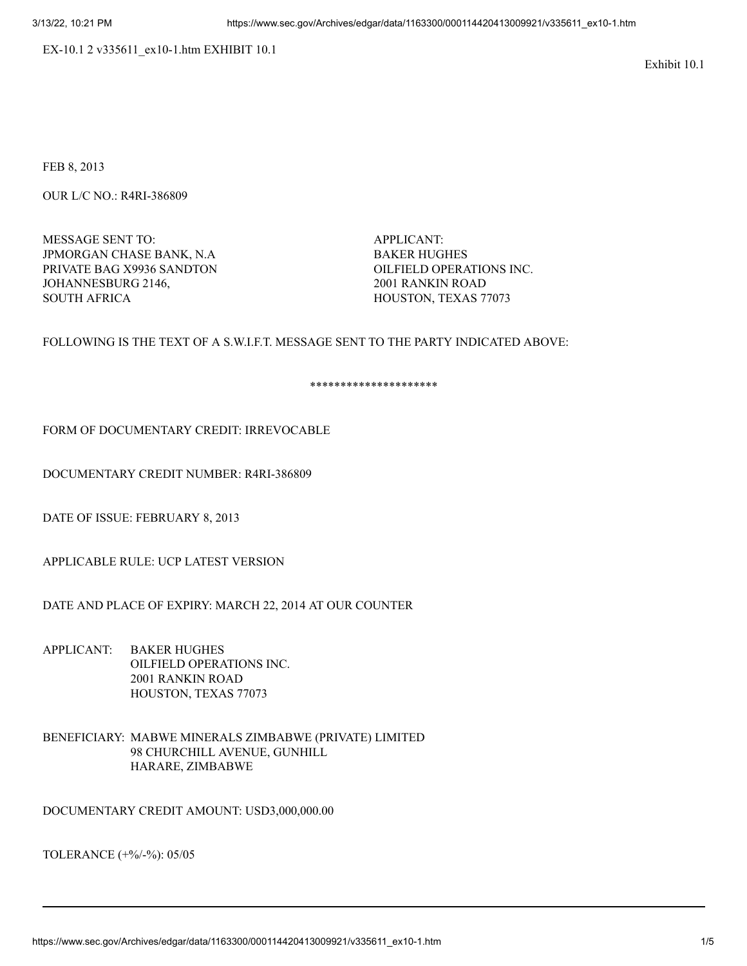EX-10.1 2 v335611\_ex10-1.htm EXHIBIT 10.1

Exhibit 10.1

FEB 8, 2013

OUR L/C NO.: R4RI-386809

MESSAGE SENT TO: APPLICANT: JPMORGAN CHASE BANK, N.A BAKER HUGHES PRIVATE BAG X9936 SANDTON OILFIELD OPERATIONS INC. JOHANNESBURG 2146, 2001 RANKIN ROAD SOUTH AFRICA **HOUSTON, TEXAS 77073** 

## FOLLOWING IS THE TEXT OF A S.W.I.F.T. MESSAGE SENT TO THE PARTY INDICATED ABOVE:

\*\*\*\*\*\*\*\*\*\*\*\*\*\*\*\*\*\*\*\*\*

## FORM OF DOCUMENTARY CREDIT: IRREVOCABLE

DOCUMENTARY CREDIT NUMBER: R4RI-386809

DATE OF ISSUE: FEBRUARY 8, 2013

APPLICABLE RULE: UCP LATEST VERSION

DATE AND PLACE OF EXPIRY: MARCH 22, 2014 AT OUR COUNTER

- APPLICANT: BAKER HUGHES OILFIELD OPERATIONS INC. 2001 RANKIN ROAD HOUSTON, TEXAS 77073
- BENEFICIARY: MABWE MINERALS ZIMBABWE (PRIVATE) LIMITED 98 CHURCHILL AVENUE, GUNHILL HARARE, ZIMBABWE

DOCUMENTARY CREDIT AMOUNT: USD3,000,000.00

TOLERANCE (+%/-%): 05/05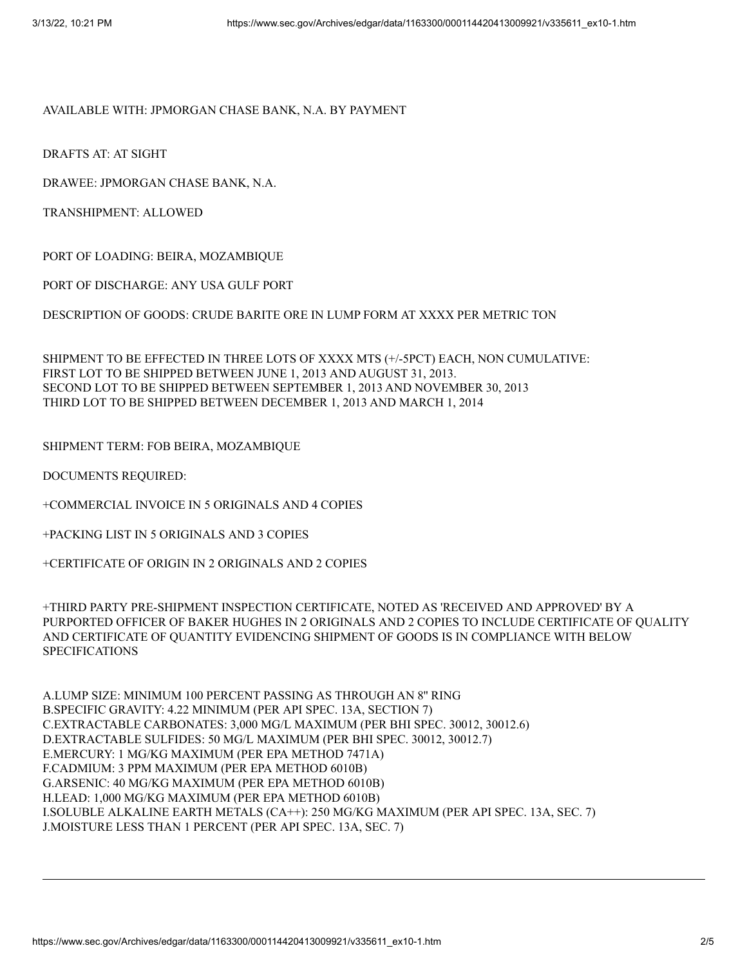## AVAILABLE WITH: JPMORGAN CHASE BANK, N.A. BY PAYMENT

DRAFTS AT: AT SIGHT

DRAWEE: JPMORGAN CHASE BANK, N.A.

TRANSHIPMENT: ALLOWED

PORT OF LOADING: BEIRA, MOZAMBIQUE

PORT OF DISCHARGE: ANY USA GULF PORT

DESCRIPTION OF GOODS: CRUDE BARITE ORE IN LUMP FORM AT XXXX PER METRIC TON

SHIPMENT TO BE EFFECTED IN THREE LOTS OF XXXX MTS (+/-5PCT) EACH, NON CUMULATIVE: FIRST LOT TO BE SHIPPED BETWEEN JUNE 1, 2013 AND AUGUST 31, 2013. SECOND LOT TO BE SHIPPED BETWEEN SEPTEMBER 1, 2013 AND NOVEMBER 30, 2013 THIRD LOT TO BE SHIPPED BETWEEN DECEMBER 1, 2013 AND MARCH 1, 2014

SHIPMENT TERM: FOB BEIRA, MOZAMBIQUE

DOCUMENTS REQUIRED:

+COMMERCIAL INVOICE IN 5 ORIGINALS AND 4 COPIES

+PACKING LIST IN 5 ORIGINALS AND 3 COPIES

+CERTIFICATE OF ORIGIN IN 2 ORIGINALS AND 2 COPIES

+THIRD PARTY PRE-SHIPMENT INSPECTION CERTIFICATE, NOTED AS 'RECEIVED AND APPROVED' BY A PURPORTED OFFICER OF BAKER HUGHES IN 2 ORIGINALS AND 2 COPIES TO INCLUDE CERTIFICATE OF QUALITY AND CERTIFICATE OF QUANTITY EVIDENCING SHIPMENT OF GOODS IS IN COMPLIANCE WITH BELOW SPECIFICATIONS

A.LUMP SIZE: MINIMUM 100 PERCENT PASSING AS THROUGH AN 8'' RING B.SPECIFIC GRAVITY: 4.22 MINIMUM (PER API SPEC. 13A, SECTION 7) C.EXTRACTABLE CARBONATES: 3,000 MG/L MAXIMUM (PER BHI SPEC. 30012, 30012.6) D.EXTRACTABLE SULFIDES: 50 MG/L MAXIMUM (PER BHI SPEC. 30012, 30012.7) E.MERCURY: 1 MG/KG MAXIMUM (PER EPA METHOD 7471A) F.CADMIUM: 3 PPM MAXIMUM (PER EPA METHOD 6010B) G.ARSENIC: 40 MG/KG MAXIMUM (PER EPA METHOD 6010B) H.LEAD: 1,000 MG/KG MAXIMUM (PER EPA METHOD 6010B) I.SOLUBLE ALKALINE EARTH METALS (CA++): 250 MG/KG MAXIMUM (PER API SPEC. 13A, SEC. 7) J.MOISTURE LESS THAN 1 PERCENT (PER API SPEC. 13A, SEC. 7)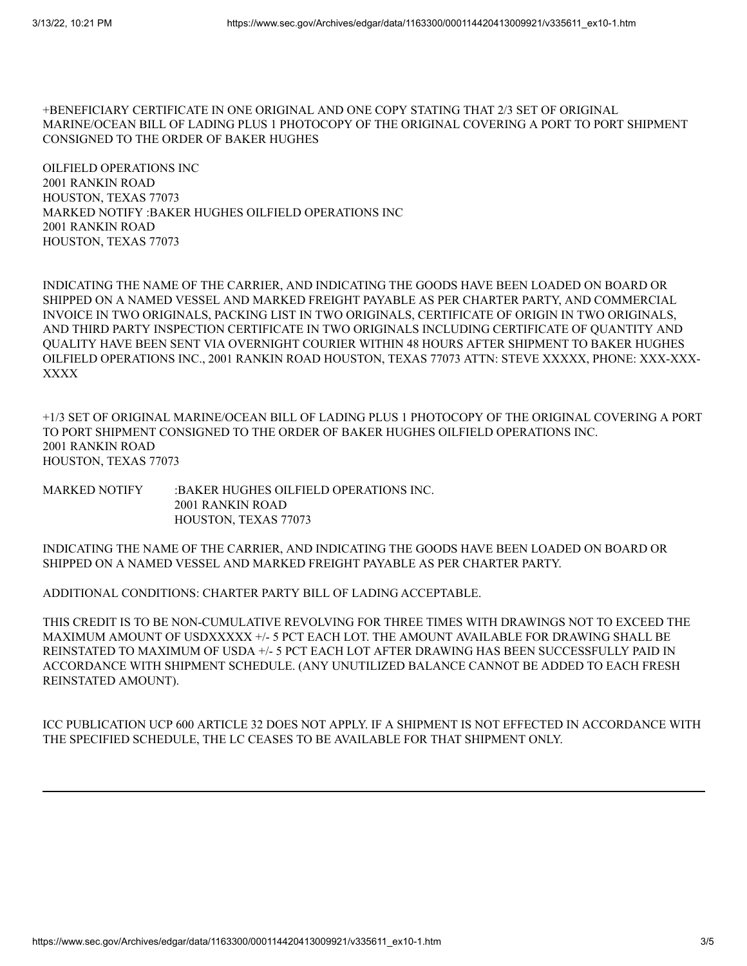+BENEFICIARY CERTIFICATE IN ONE ORIGINAL AND ONE COPY STATING THAT 2/3 SET OF ORIGINAL MARINE/OCEAN BILL OF LADING PLUS 1 PHOTOCOPY OF THE ORIGINAL COVERING A PORT TO PORT SHIPMENT CONSIGNED TO THE ORDER OF BAKER HUGHES

OILFIELD OPERATIONS INC 2001 RANKIN ROAD HOUSTON, TEXAS 77073 MARKED NOTIFY :BAKER HUGHES OILFIELD OPERATIONS INC 2001 RANKIN ROAD HOUSTON, TEXAS 77073

INDICATING THE NAME OF THE CARRIER, AND INDICATING THE GOODS HAVE BEEN LOADED ON BOARD OR SHIPPED ON A NAMED VESSEL AND MARKED FREIGHT PAYABLE AS PER CHARTER PARTY, AND COMMERCIAL INVOICE IN TWO ORIGINALS, PACKING LIST IN TWO ORIGINALS, CERTIFICATE OF ORIGIN IN TWO ORIGINALS, AND THIRD PARTY INSPECTION CERTIFICATE IN TWO ORIGINALS INCLUDING CERTIFICATE OF QUANTITY AND QUALITY HAVE BEEN SENT VIA OVERNIGHT COURIER WITHIN 48 HOURS AFTER SHIPMENT TO BAKER HUGHES OILFIELD OPERATIONS INC., 2001 RANKIN ROAD HOUSTON, TEXAS 77073 ATTN: STEVE XXXXX, PHONE: XXX-XXX-XXXX

+1/3 SET OF ORIGINAL MARINE/OCEAN BILL OF LADING PLUS 1 PHOTOCOPY OF THE ORIGINAL COVERING A PORT TO PORT SHIPMENT CONSIGNED TO THE ORDER OF BAKER HUGHES OILFIELD OPERATIONS INC. 2001 RANKIN ROAD HOUSTON, TEXAS 77073

MARKED NOTIFY :BAKER HUGHES OILFIELD OPERATIONS INC. 2001 RANKIN ROAD HOUSTON, TEXAS 77073

INDICATING THE NAME OF THE CARRIER, AND INDICATING THE GOODS HAVE BEEN LOADED ON BOARD OR SHIPPED ON A NAMED VESSEL AND MARKED FREIGHT PAYABLE AS PER CHARTER PARTY.

ADDITIONAL CONDITIONS: CHARTER PARTY BILL OF LADING ACCEPTABLE.

THIS CREDIT IS TO BE NON-CUMULATIVE REVOLVING FOR THREE TIMES WITH DRAWINGS NOT TO EXCEED THE MAXIMUM AMOUNT OF USDXXXXX +/- 5 PCT EACH LOT. THE AMOUNT AVAILABLE FOR DRAWING SHALL BE REINSTATED TO MAXIMUM OF USDA +/- 5 PCT EACH LOT AFTER DRAWING HAS BEEN SUCCESSFULLY PAID IN ACCORDANCE WITH SHIPMENT SCHEDULE. (ANY UNUTILIZED BALANCE CANNOT BE ADDED TO EACH FRESH REINSTATED AMOUNT).

ICC PUBLICATION UCP 600 ARTICLE 32 DOES NOT APPLY. IF A SHIPMENT IS NOT EFFECTED IN ACCORDANCE WITH THE SPECIFIED SCHEDULE, THE LC CEASES TO BE AVAILABLE FOR THAT SHIPMENT ONLY.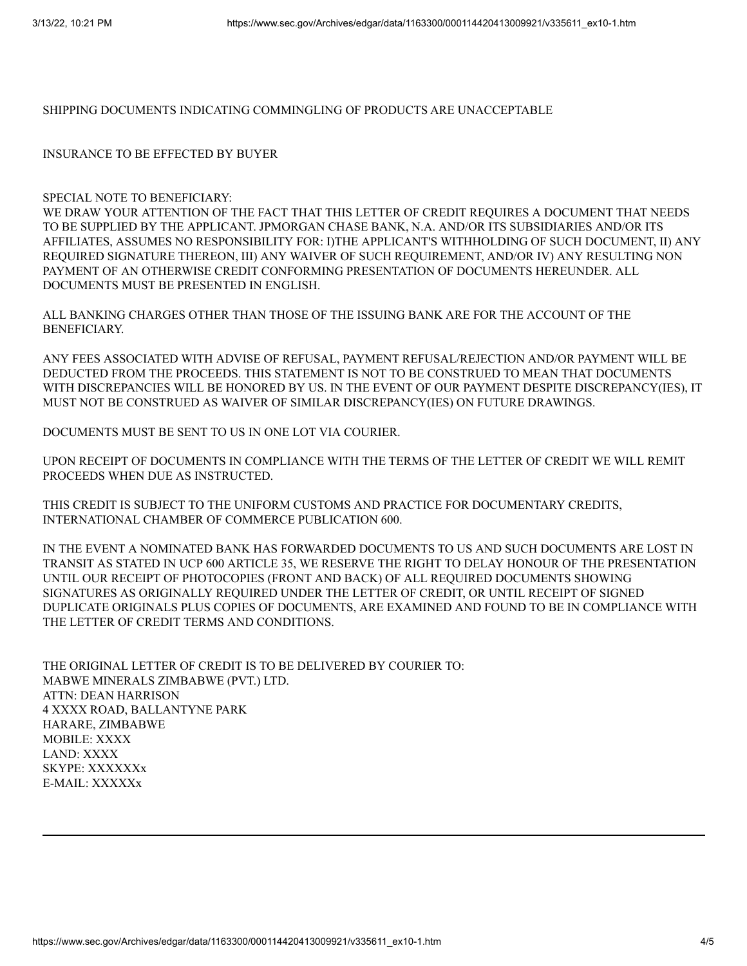SHIPPING DOCUMENTS INDICATING COMMINGLING OF PRODUCTS ARE UNACCEPTABLE

INSURANCE TO BE EFFECTED BY BUYER

## SPECIAL NOTE TO BENEFICIARY:

WE DRAW YOUR ATTENTION OF THE FACT THAT THIS LETTER OF CREDIT REQUIRES A DOCUMENT THAT NEEDS TO BE SUPPLIED BY THE APPLICANT. JPMORGAN CHASE BANK, N.A. AND/OR ITS SUBSIDIARIES AND/OR ITS AFFILIATES, ASSUMES NO RESPONSIBILITY FOR: I)THE APPLICANT'S WITHHOLDING OF SUCH DOCUMENT, II) ANY REQUIRED SIGNATURE THEREON, III) ANY WAIVER OF SUCH REQUIREMENT, AND/OR IV) ANY RESULTING NON PAYMENT OF AN OTHERWISE CREDIT CONFORMING PRESENTATION OF DOCUMENTS HEREUNDER. ALL DOCUMENTS MUST BE PRESENTED IN ENGLISH.

ALL BANKING CHARGES OTHER THAN THOSE OF THE ISSUING BANK ARE FOR THE ACCOUNT OF THE BENEFICIARY.

ANY FEES ASSOCIATED WITH ADVISE OF REFUSAL, PAYMENT REFUSAL/REJECTION AND/OR PAYMENT WILL BE DEDUCTED FROM THE PROCEEDS. THIS STATEMENT IS NOT TO BE CONSTRUED TO MEAN THAT DOCUMENTS WITH DISCREPANCIES WILL BE HONORED BY US. IN THE EVENT OF OUR PAYMENT DESPITE DISCREPANCY(IES), IT MUST NOT BE CONSTRUED AS WAIVER OF SIMILAR DISCREPANCY(IES) ON FUTURE DRAWINGS.

DOCUMENTS MUST BE SENT TO US IN ONE LOT VIA COURIER.

UPON RECEIPT OF DOCUMENTS IN COMPLIANCE WITH THE TERMS OF THE LETTER OF CREDIT WE WILL REMIT PROCEEDS WHEN DUE AS INSTRUCTED.

THIS CREDIT IS SUBJECT TO THE UNIFORM CUSTOMS AND PRACTICE FOR DOCUMENTARY CREDITS, INTERNATIONAL CHAMBER OF COMMERCE PUBLICATION 600.

IN THE EVENT A NOMINATED BANK HAS FORWARDED DOCUMENTS TO US AND SUCH DOCUMENTS ARE LOST IN TRANSIT AS STATED IN UCP 600 ARTICLE 35, WE RESERVE THE RIGHT TO DELAY HONOUR OF THE PRESENTATION UNTIL OUR RECEIPT OF PHOTOCOPIES (FRONT AND BACK) OF ALL REQUIRED DOCUMENTS SHOWING SIGNATURES AS ORIGINALLY REQUIRED UNDER THE LETTER OF CREDIT, OR UNTIL RECEIPT OF SIGNED DUPLICATE ORIGINALS PLUS COPIES OF DOCUMENTS, ARE EXAMINED AND FOUND TO BE IN COMPLIANCE WITH THE LETTER OF CREDIT TERMS AND CONDITIONS.

THE ORIGINAL LETTER OF CREDIT IS TO BE DELIVERED BY COURIER TO: MABWE MINERALS ZIMBABWE (PVT.) LTD. ATTN: DEAN HARRISON 4 XXXX ROAD, BALLANTYNE PARK HARARE, ZIMBABWE MOBILE: XXXX LAND: XXXX SKYPE: XXXXXXx E-MAIL: XXXXXx